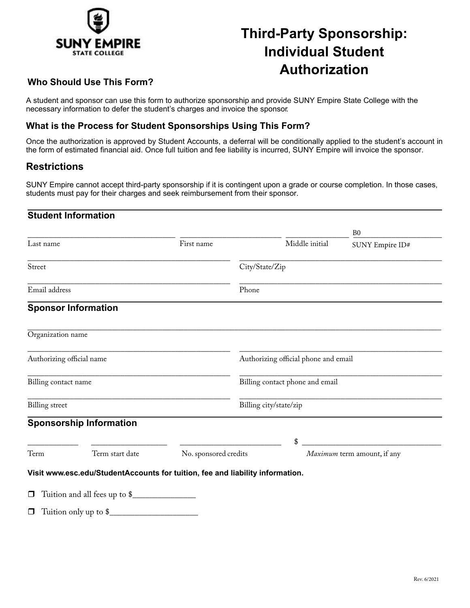

# **Third-Party Sponsorship: Individual Student Authorization**

### **Who Should Use This Form?**

A student and sponsor can use this form to authorize sponsorship and provide SUNY Empire State College with the necessary information to defer the student's charges and invoice the sponsor *.*

#### **What is the Process for Student Sponsorships Using This Form?**

Once the authorization is approved by Student Accounts, a deferral will be conditionally applied to the student's account in the form of estimated financial aid. Once full tuition and fee liability is incurred, SUNY Empire will invoice the sponsor.

#### **Restrictions**

SUNY Empire cannot accept third-party sponsorship if it is contingent upon a grade or course completion. In those cases, students must pay for their charges and seek reimbursement from their sponsor.

#### **Student Information**

|                           |                                                                               |                       |                                      |                | B <sub>0</sub>              |
|---------------------------|-------------------------------------------------------------------------------|-----------------------|--------------------------------------|----------------|-----------------------------|
| Last name                 |                                                                               | First name            |                                      | Middle initial | SUNY Empire ID#             |
| Street                    |                                                                               |                       | City/State/Zip                       |                |                             |
| Email address             |                                                                               |                       | Phone                                |                |                             |
|                           | <b>Sponsor Information</b>                                                    |                       |                                      |                |                             |
| Organization name         |                                                                               |                       |                                      |                |                             |
| Authorizing official name |                                                                               |                       | Authorizing official phone and email |                |                             |
| Billing contact name      |                                                                               |                       | Billing contact phone and email      |                |                             |
| <b>Billing</b> street     |                                                                               |                       | Billing city/state/zip               |                |                             |
|                           | <b>Sponsorship Information</b>                                                |                       |                                      |                |                             |
|                           |                                                                               |                       |                                      | \$             |                             |
| Term<br>Term start date   |                                                                               | No. sponsored credits |                                      |                | Maximum term amount, if any |
|                           | Visit www.esc.edu/StudentAccounts for tuition, fee and liability information. |                       |                                      |                |                             |
|                           | □ Tuition and all fees up to \$                                               |                       |                                      |                |                             |
|                           | $\Box$ Tuition only up to $\$\_$                                              |                       |                                      |                |                             |